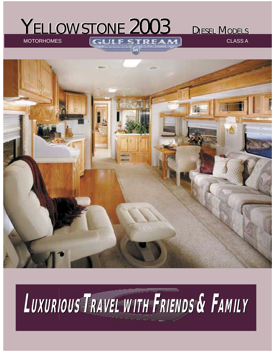#### MOTORHOMES CLASS A STREAM YELLOWSTONE 2003

DIESEL MODELS



## **LUXURIOUS UXURIOUS TRAVEL WITH FRIENDS & FAMILY**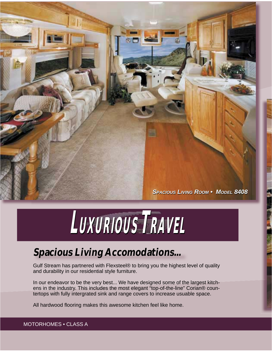*SPACIOUS PACIOUS LIVING IVING ROOM OOM • MODEL ODEL 8408*

# $L$ **UXURIOUS** TRAVEL

#### **Spacious Living Accomodations...**

Gulf Stream has partnered with Flexsteel® to bring you the highest level of quality and durability in our residential style furniture.

In our endeavor to be the very best... We have designed some of the largest kitchens in the industry. This includes the most elegant "top-of-the-line" Corian® countertops with fully intergrated sink and range covers to increase usuable space.

All hardwood flooring makes this awesome kitchen feel like home.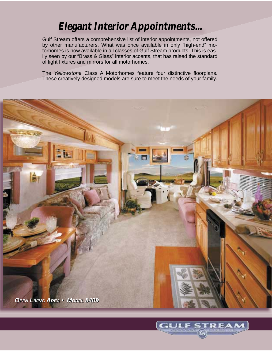#### **Elegant Interior Appointments...**

Gulf Stream offers a comprehensive list of interior appointments, not offered by other manufacturers. What was once available in only "high-end" motorhomes is now available in all classes of Gulf Stream products. This is easily seen by our "Brass & Glass" interior accents, that has raised the standard of light fixtures and mirrors for all motorhomes.

The *Yellowstone* Class A Motorhomes feature four distinctive floorplans. These creatively designed models are sure to meet the needs of your family.



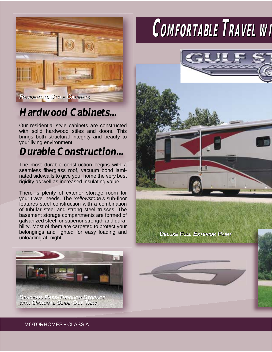

#### **Hardwood Cabinets...**

Our residential style cabinets are constructed with solid hardwood stiles and doors. This brings both structural integrity and beauty to your living environment.

#### **Durable Construction...**

The most durable construction begins with a seamless fiberglass roof, vacuum bond laminated sidewalls to give your home the very best rigidity as well as increased insulating value.

There is plenty of exterior storage room for your travel needs. The *Yellowstone's* sub-floor features steel construction with a combination of tubular steel and strong steel trusses. The basement storage compartments are formed of galvanized steel for superior strength and durability. Most of them are carpeted to protect your belongings and lighted for easy loading and unloading at night.

### $COMFORTABLE$  TRAVEL WI



*DELUXE ELUXE FULL ULL EXTERIOR XTERIOR PAINT AINT*



MOTORHOMES • CLASS A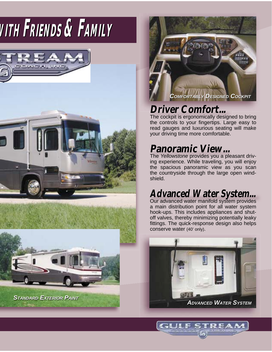## **WWITHITH FRIENDS RIENDS & FAMILY AMILY**





#### **Driver Comfort...**

The cockpit is ergonomically designed to bring the controls to your fingertips. Large easy to read gauges and luxurious seating will make your driving time more comfortable.

#### **Panoramic View...**

The *Yellowstone* provides you a pleasant driving experience. While traveling, you will enjoy the spacious panoramic view as you scan the countryside through the large open windshield.

#### **Advanced Water System...**

Our advanced water manifold system provides a main distribution point for all water system hook-ups. This includes appliances and shutoff valves, thereby minimizing potentially leaky fittings. The quick-response design also helps conserve water (40' only).



I CH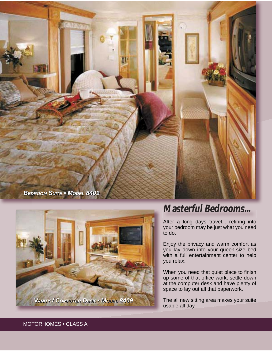



#### **Masterful Bedrooms...**

After a long days travel... retiring into your bedroom may be just what you need to do.

Enjoy the privacy and warm comfort as you lay down into your queen-size bed with a full entertainment center to help you relax.

When you need that quiet place to finish up some of that office work, settle down at the computer desk and have plenty of space to lay out all that paperwork.

The all new sitting area makes your suite usable all day.

MOTORHOMES • CLASS A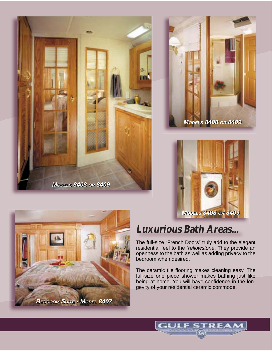







#### **Luxurious Bath Areas...**

The full-size "French Doors" truly add to the elegant residential feel to the *Yellowstone*. They provide an openness to the bath as well as adding privacy to the bedroom when desired.

The ceramic tile flooring makes cleaning easy. The full-size one piece shower makes bathing just like being at home. You will have confidence in the longevity of your residential ceramic commode.

l cal